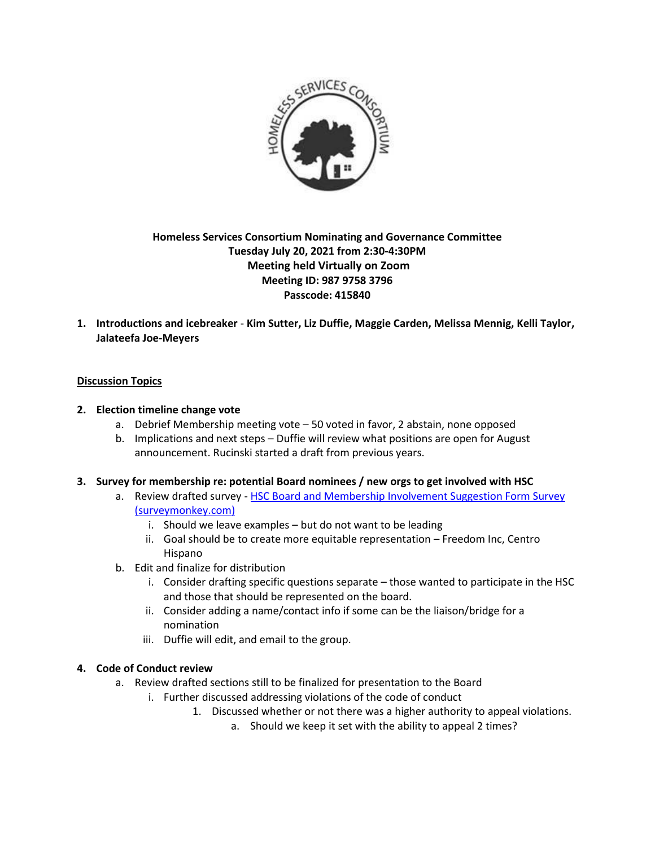

# **Homeless Services Consortium Nominating and Governance Committee Tuesday July 20, 2021 from 2:30-4:30PM Meeting held Virtually on Zoom Meeting ID: 987 9758 3796 Passcode: 415840**

**1. Introductions and icebreaker** - **Kim Sutter, Liz Duffie, Maggie Carden, Melissa Mennig, Kelli Taylor, Jalateefa Joe-Meyers**

## **Discussion Topics**

### **2. Election timeline change vote**

- a. Debrief Membership meeting vote 50 voted in favor, 2 abstain, none opposed
- b. Implications and next steps Duffie will review what positions are open for August announcement. Rucinski started a draft from previous years.

### **3. Survey for membership re: potential Board nominees / new orgs to get involved with HSC**

- a. Review drafted survey HSC Board and Membership Involvement Suggestion Form Survey [\(surveymonkey.com\)](https://www.surveymonkey.com/r/WTXY6RY)
	- i. Should we leave examples but do not want to be leading
	- ii. Goal should be to create more equitable representation Freedom Inc, Centro Hispano
- b. Edit and finalize for distribution
	- i. Consider drafting specific questions separate those wanted to participate in the HSC and those that should be represented on the board.
	- ii. Consider adding a name/contact info if some can be the liaison/bridge for a nomination
	- iii. Duffie will edit, and email to the group.

### **4. Code of Conduct review**

- a. Review drafted sections still to be finalized for presentation to the Board
	- i. Further discussed addressing violations of the code of conduct
		- 1. Discussed whether or not there was a higher authority to appeal violations.
			- a. Should we keep it set with the ability to appeal 2 times?